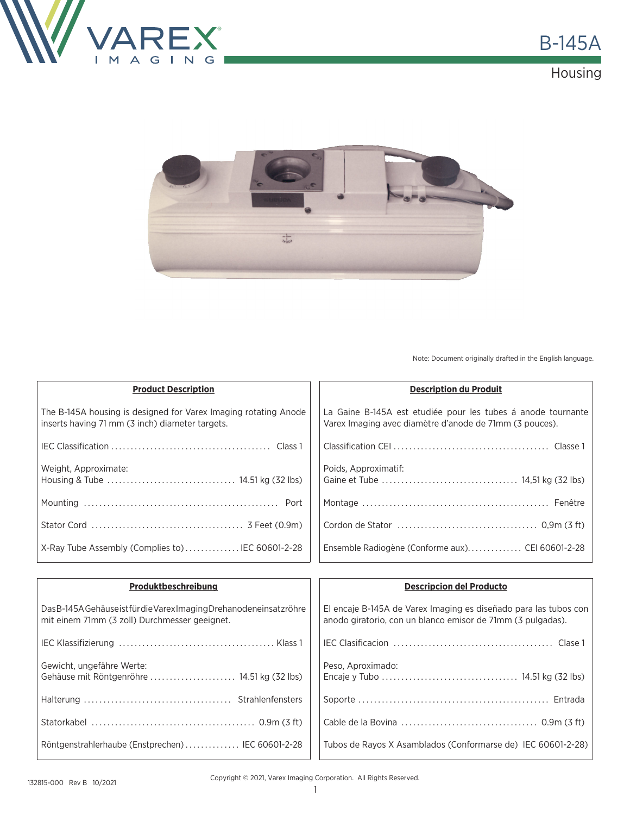





Note: Document originally drafted in the English language.

| <b>Product Description</b>                                                                                         | <b>Description du Produit</b>                                                                                           |
|--------------------------------------------------------------------------------------------------------------------|-------------------------------------------------------------------------------------------------------------------------|
| The B-145A housing is designed for Varex Imaging rotating Anode<br>inserts having 71 mm (3 inch) diameter targets. | La Gaine B-145A est etudiée pour les tubes á anode tournante<br>Varex Imaging avec diamètre d'anode de 71mm (3 pouces). |
|                                                                                                                    |                                                                                                                         |
| Weight, Approximate:                                                                                               | Poids, Approximatif:                                                                                                    |
|                                                                                                                    |                                                                                                                         |
|                                                                                                                    |                                                                                                                         |
| X-Ray Tube Assembly (Complies to) IEC 60601-2-28                                                                   | Ensemble Radiogène (Conforme aux) CEI 60601-2-28                                                                        |

| Produktbeschreibung                                                                                                   | <b>Descripcion del Producto</b>                                                                                                 |
|-----------------------------------------------------------------------------------------------------------------------|---------------------------------------------------------------------------------------------------------------------------------|
| Das B-145A Gehäuse ist für die Varex Imaging Drehanodeneinsatz röhre<br>mit einem 71mm (3 zoll) Durchmesser geeignet. | El encaje B-145A de Varex Imaging es diseñado para las tubos con<br>anodo giratorio, con un blanco emisor de 71mm (3 pulgadas). |
|                                                                                                                       |                                                                                                                                 |
| Gewicht, ungefähre Werte:<br>Gehäuse mit Röntgenröhre  14.51 kg (32 lbs)                                              | Peso, Aproximado:                                                                                                               |
|                                                                                                                       |                                                                                                                                 |
|                                                                                                                       |                                                                                                                                 |
| Röntgenstrahlerhaube (Enstprechen) IEC 60601-2-28                                                                     | Tubos de Rayos X Asamblados (Conformarse de) IEC 60601-2-28)                                                                    |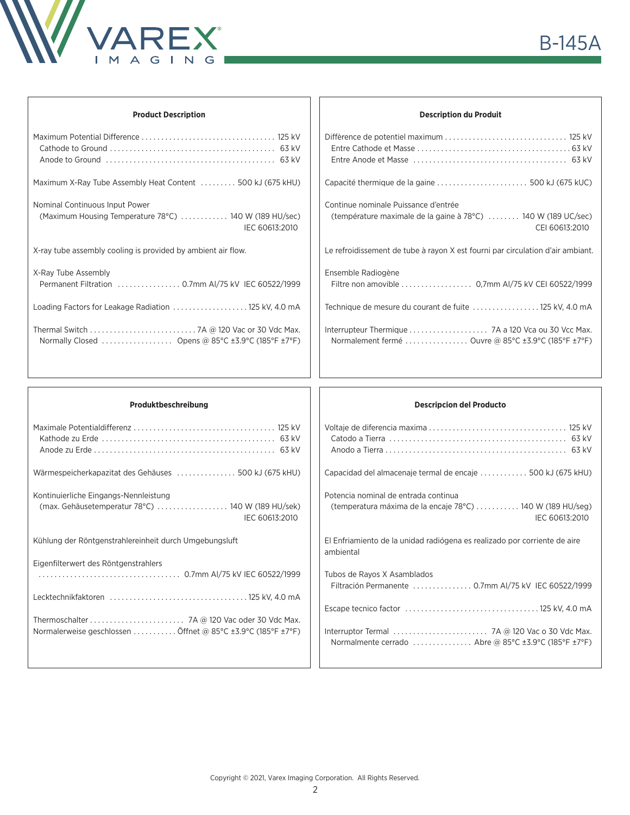

| <b>Product Description</b>                                                                                 | <b>Description du Produit</b>                                                                                           |
|------------------------------------------------------------------------------------------------------------|-------------------------------------------------------------------------------------------------------------------------|
|                                                                                                            |                                                                                                                         |
| Maximum X-Ray Tube Assembly Heat Content  500 kJ (675 kHU)                                                 |                                                                                                                         |
| Nominal Continuous Input Power<br>(Maximum Housing Temperature 78°C)  140 W (189 HU/sec)<br>IEC 60613:2010 | Continue nominale Puissance d'entrée<br>(température maximale de la gaine à 78°C)  140 W (189 UC/sec)<br>CEI 60613:2010 |
| X-ray tube assembly cooling is provided by ambient air flow.                                               | Le refroidissement de tube à rayon X est fourni par circulation d'air ambiant.                                          |
| X-Ray Tube Assembly                                                                                        | Ensemble Radiogène<br>Filtre non amovible 0,7mm AI/75 kV CEI 60522/1999                                                 |
| Loading Factors for Leakage Radiation  125 kV, 4.0 mA                                                      | Technique de mesure du courant de fuite  125 kV, 4.0 mA                                                                 |
| Normally Closed  Opens @ 85°C ±3.9°C (185°F ±7°F)                                                          | Normalement fermé  Ouvre @ 85°C ±3.9°C (185°F ±7°F)                                                                     |
|                                                                                                            |                                                                                                                         |

| Wärmespeicherkapazitat des Gehäuses 500 kJ (675 kHU)<br>Kontinuierliche Eingangs-Nennleistung<br>Kühlung der Röntgenstrahlereinheit durch Umgebungsluft<br>Eigenfilterwert des Röntgenstrahlers |                                                                    |
|-------------------------------------------------------------------------------------------------------------------------------------------------------------------------------------------------|--------------------------------------------------------------------|
|                                                                                                                                                                                                 |                                                                    |
|                                                                                                                                                                                                 | (max. Gehäusetemperatur 78°C) 140 W (189 HU/sek)<br>IFC 60613:2010 |
|                                                                                                                                                                                                 |                                                                    |
|                                                                                                                                                                                                 |                                                                    |
|                                                                                                                                                                                                 |                                                                    |
| Normalerweise geschlossen  Öffnet @ 85°C ±3.9°C (185°F ±7°F)                                                                                                                                    |                                                                    |

## **Descripcion del Producto**

| Capacidad del almacenaje termal de encaje  500 kJ (675 kHU)                            |
|----------------------------------------------------------------------------------------|
| Potencia nominal de entrada continua                                                   |
| (temperatura máxima de la encaje 78°C)  140 W (189 HU/seg)<br>IEC 60613:2010           |
| El Enfriamiento de la unidad radiógena es realizado por corriente de aire<br>ambiental |
| Tubos de Rayos X Asamblados                                                            |
| Filtración Permanente  0.7mm Al/75 kV IEC 60522/1999                                   |
|                                                                                        |
| Normalmente cerrado  Abre @ 85°C ±3.9°C (185°F ±7°F)                                   |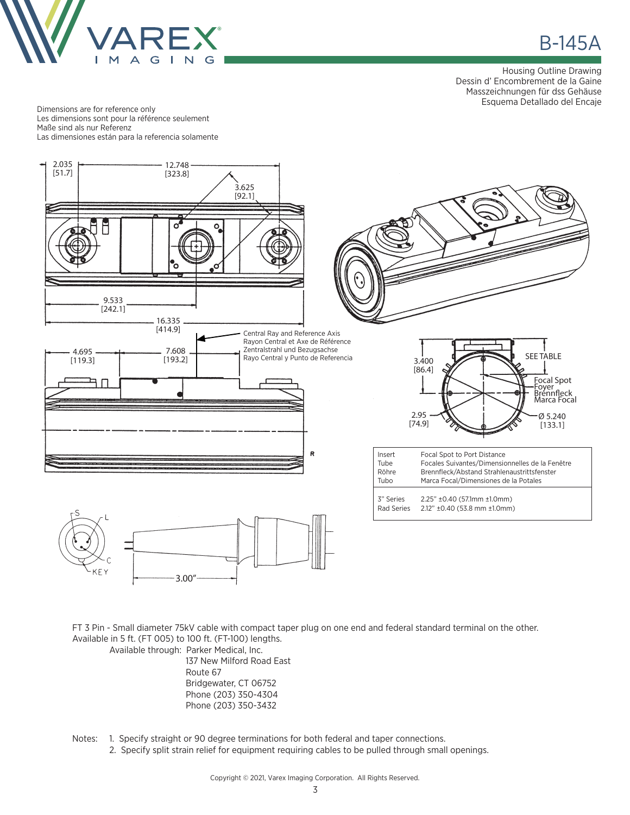

**B-145A** 

Housing Outline Drawing Dessin d' Encombrement de la Gaine Masszeichnungen für dss Gehäuse Esquema Detallado del Encaje

Dimensions are for reference only Les dimensions sont pour la référence seulement Maße sind als nur Referenz Las dimensiones están para la referencia solamente



FT 3 Pin - Small diameter 75kV cable with compact taper plug on one end and federal standard terminal on the other. Available in 5 ft. (FT 005) to 100 ft. (FT-100) lengths.

Available through: Parker Medical, Inc. 137 New Milford Road East Route 67 Bridgewater, CT 06752

 Phone (203) 350-4304 Phone (203) 350-3432

Notes: 1. Specify straight or 90 degree terminations for both federal and taper connections.

2. Specify split strain relief for equipment requiring cables to be pulled through small openings.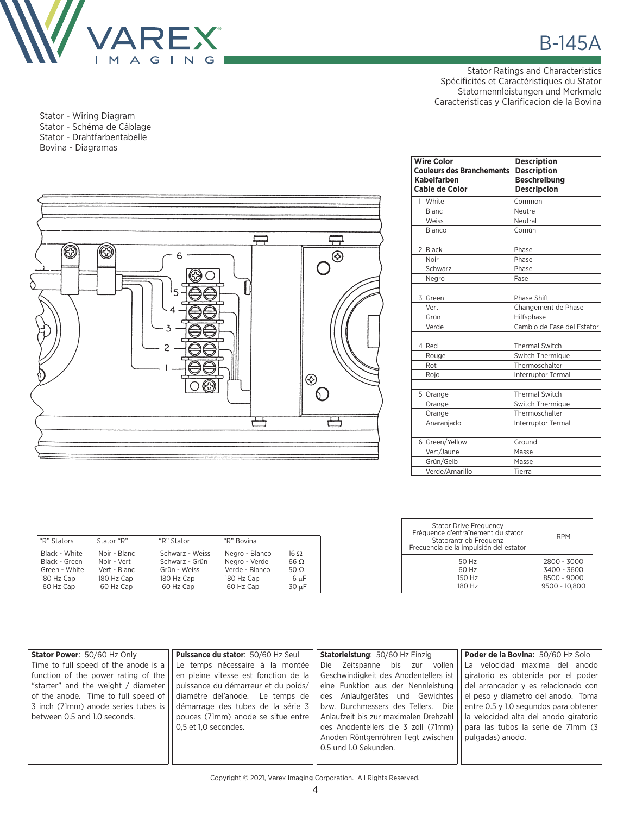

Stator - Wiring Diagram Stator - Schéma de Câblage Stator - Drahtfarbentabelle Bovina - Diagramas



| <b>Wire Color</b><br><b>Couleurs des Branchements</b><br>Kabelfarben<br><b>Cable de Color</b> | <b>Description</b><br><b>Description</b><br><b>Beschreibung</b><br><b>Descripcion</b> |
|-----------------------------------------------------------------------------------------------|---------------------------------------------------------------------------------------|
| White<br>1                                                                                    | Common                                                                                |
| <b>Blanc</b>                                                                                  | Neutre                                                                                |
| Weiss                                                                                         | Neutral                                                                               |
| Blanco                                                                                        | Común                                                                                 |
| 2 Black                                                                                       | Phase                                                                                 |
| Noir                                                                                          | Phase                                                                                 |
| Schwarz                                                                                       | Phase                                                                                 |
| Negro                                                                                         | Fase                                                                                  |
| 3 Green                                                                                       | Phase Shift                                                                           |
| Vert                                                                                          | Changement de Phase                                                                   |
| Grün                                                                                          | Hilfsphase                                                                            |
| Verde                                                                                         | Cambio de Fase del Estator                                                            |
| 4 Red                                                                                         | <b>Thermal Switch</b>                                                                 |
| Rouge                                                                                         | Switch Thermique                                                                      |
| Rot                                                                                           | Thermoschalter                                                                        |
| Rojo                                                                                          | Interruptor Termal                                                                    |
| 5 Orange                                                                                      | <b>Thermal Switch</b>                                                                 |
| Orange                                                                                        | Switch Thermique                                                                      |
| Orange                                                                                        | Thermoschalter                                                                        |
| Anaranjado                                                                                    | Interruptor Termal                                                                    |
| 6 Green/Yellow                                                                                | Ground                                                                                |
| Vert/Jaune                                                                                    | Masse                                                                                 |
| Grün/Gelb                                                                                     | Masse                                                                                 |
| Verde/Amarillo                                                                                | Tierra                                                                                |

| "R" Stators   | Stator "R"   | "R" Stator      | "R" Bovina     |             |
|---------------|--------------|-----------------|----------------|-------------|
| Black - White | Noir - Blanc | Schwarz - Weiss | Negro - Blanco | 16 Ω        |
| Black - Green | Noir - Vert  | Schwarz - Grün  | Negro - Verde  | $66 \Omega$ |
| Green - White | Vert - Blanc | Grün - Weiss    | Verde - Blanco | 50 $\Omega$ |
| 180 Hz Cap    | 180 Hz Cap   | 180 Hz Cap      | 180 Hz Cap     | 6 µF        |
| 60 Hz Cap     | 60 Hz Cap    | 60 Hz Cap       | 60 Hz Cap      | 30 µF       |

| <b>Stator Drive Frequency</b><br>Fréquence d'entraînement du stator<br>Statorantrieb Frequenz<br>Frecuencia de la impulsión del estator | <b>RPM</b>    |
|-----------------------------------------------------------------------------------------------------------------------------------------|---------------|
| 50 Hz                                                                                                                                   | 2800 - 3000   |
| 60 Hz                                                                                                                                   | 3400 - 3600   |
| 150 Hz                                                                                                                                  | 8500 - 9000   |
| 180 Hz                                                                                                                                  | 9500 - 10.800 |

| Stator Power: 50/60 Hz Only          | <b>Puissance du stator: 50/60 Hz Seul</b> | Statorleistung: 50/60 Hz Einzig       | <b>Poder de la Bovina: 50/60 Hz Solo</b> |
|--------------------------------------|-------------------------------------------|---------------------------------------|------------------------------------------|
| Time to full speed of the anode is a | Le temps nécessaire à la montée           | Die Zeitspanne bis zur vollen         | La velocidad maxima del anodo            |
| function of the power rating of the  | en pleine vitesse est fonction de la      | Geschwindigkeit des Anodentellers ist | giratorio es obtenida por el poder       |
| "starter" and the weight / diameter  | puissance du démarreur et du poids/       | eine Funktion aus der Nennleistung    | del arrancador y es relacionado con      |
| of the anode. Time to full speed of  | diamétre del'anode. Le temps de           | des Anlaufgerätes und Gewichtes       | el peso y diametro del anodo. Toma       |
| 3 inch (71mm) anode series tubes is  | démarrage des tubes de la série 3         | bzw. Durchmessers des Tellers. Die    | entre 0.5 y 1.0 segundos para obtener    |
| between 0.5 and 1.0 seconds.         | pouces (71mm) anode se situe entre        | Anlaufzeit bis zur maximalen Drehzahl | la velocidad alta del anodo giratorio    |
|                                      | 0.5 et 1.0 secondes.                      | des Anodentellers die 3 zoll (71mm)   | para las tubos la serie de 71mm (3)      |
|                                      |                                           | Anoden Röntgenröhren liegt zwischen   | pulgadas) anodo.                         |
|                                      |                                           | 0.5 und 1.0 Sekunden.                 |                                          |
|                                      |                                           |                                       |                                          |
|                                      |                                           |                                       |                                          |

Copyright © 2021, Varex Imaging Corporation. All Rights Reserved.

Stator Ratings and Characteristics Spécificités et Caractéristiques du Stator Statornennleistungen und Merkmale Caracteristicas y Clarificacion de la Bovina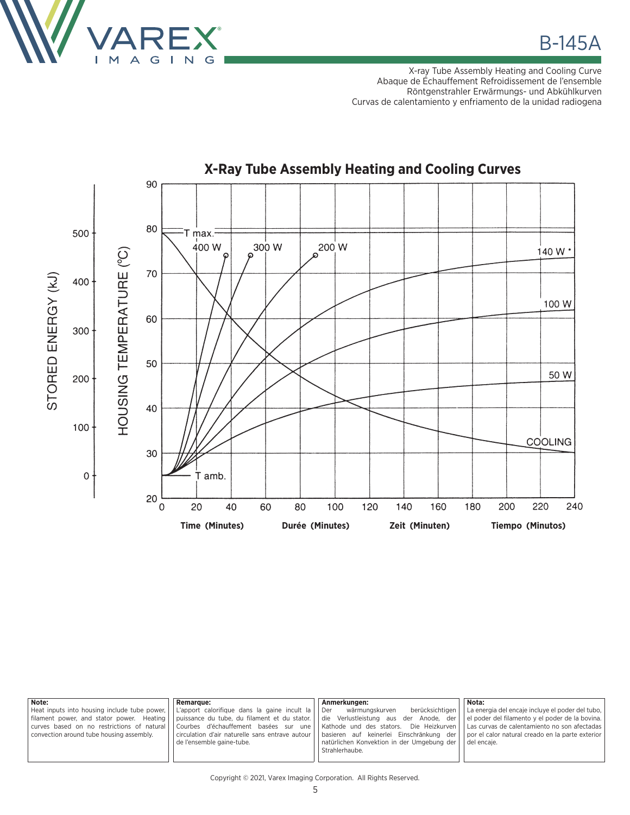

X-ray Tube Assembly Heating and Cooling Curve Abaque de Échauffement Refroidissement de l'ensemble Röntgenstrahler Erwärmungs- und Abkühlkurven Curvas de calentamiento y enfriamento de la unidad radiogena



| Note:                                        | <b>Remarque:</b>                                | Anmerkungen:                               | Nota:                                            |
|----------------------------------------------|-------------------------------------------------|--------------------------------------------|--------------------------------------------------|
| Heat inputs into housing include tube power, | L'apport calorifique dans la gaine incult la    | berücksichtigen<br>wärmungskurven<br>l Der | La energia del encaje incluye el poder del tubo, |
| filament power, and stator power. Heating    | puissance du tube, du filament et du stator.    | die Verlustleistung aus der Anode, der     | el poder del filamento y el poder de la bovina.  |
| curves based on no restrictions of natural   | Courbes d'échauffement basées sur une           | Kathode und des stators. Die Heizkurven    | Las curvas de calentamiento no son afectadas     |
| convection around tube housing assembly.     | circulation d'air naturelle sans entrave autour | basieren auf keinerlei Einschränkung der   | por el calor natural creado en la parte exterior |
|                                              | de l'ensemble gaine-tube.                       | natürlichen Konvektion in der Umgebung der | del encaje.                                      |
|                                              |                                                 | Strahlerhaube.                             |                                                  |
|                                              |                                                 |                                            |                                                  |

Copyright © 2021, Varex Imaging Corporation. All Rights Reserved.